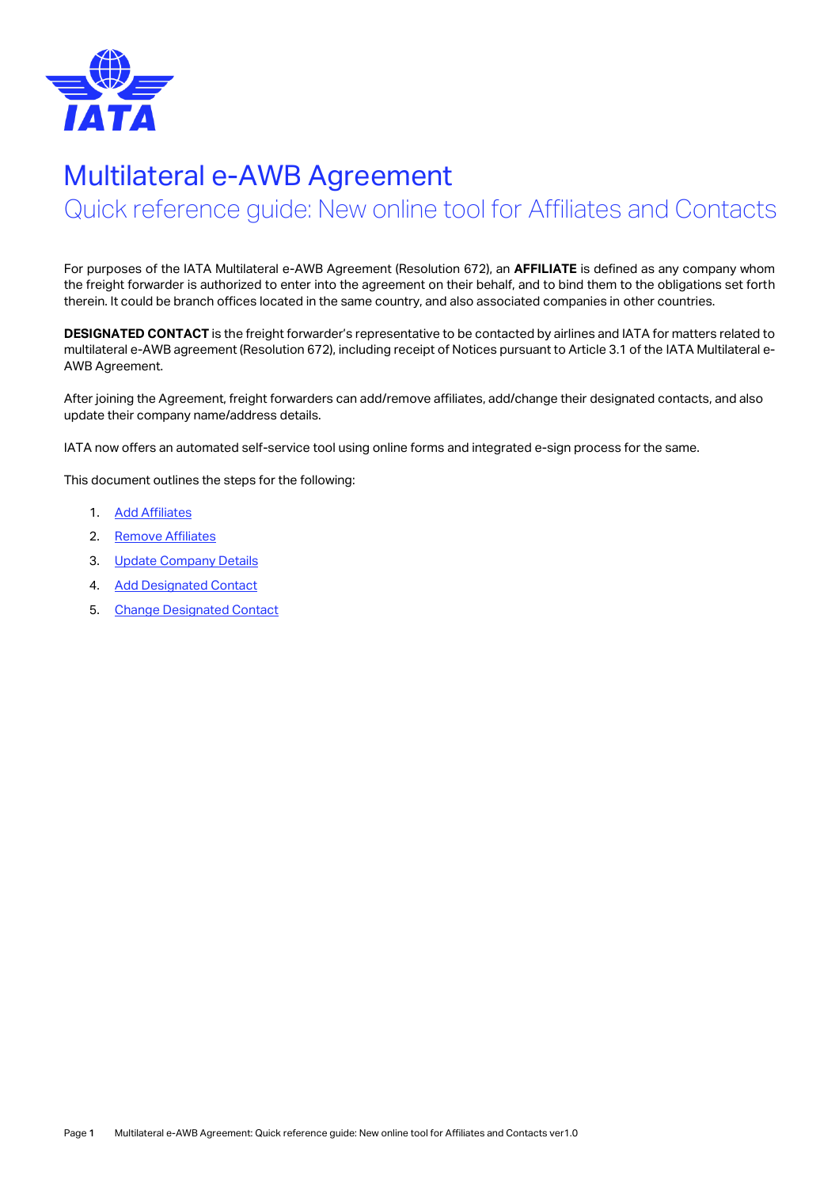

# Multilateral e-AWB Agreement

Quick reference guide: New online tool for Affiliates and Contacts

For purposes of the IATA Multilateral e-AWB Agreement (Resolution 672), an **AFFILIATE** is defined as any company whom the freight forwarder is authorized to enter into the agreement on their behalf, and to bind them to the obligations set forth therein. It could be branch offices located in the same country, and also associated companies in other countries.

**DESIGNATED CONTACT** is the freight forwarder's representative to be contacted by airlines and IATA for matters related to multilateral e-AWB agreement (Resolution 672), including receipt of Notices pursuant to Article 3.1 of the IATA Multilateral e-AWB Agreement.

After joining the Agreement, freight forwarders can add/remove affiliates, add/change their designated contacts, and also update their company name/address details.

IATA now offers an automated self-service tool using online forms and integrated e-sign process for the same.

This document outlines the steps for the following:

- 1. [Add Affiliates](#page-1-0)
- 2. [Remove Affiliates](#page-2-0)
- 3. [Update Company Details](#page-3-0)
- 4. [Add Designated Contact](#page-4-0)
- 5. [Change Designated Contact](#page-5-0)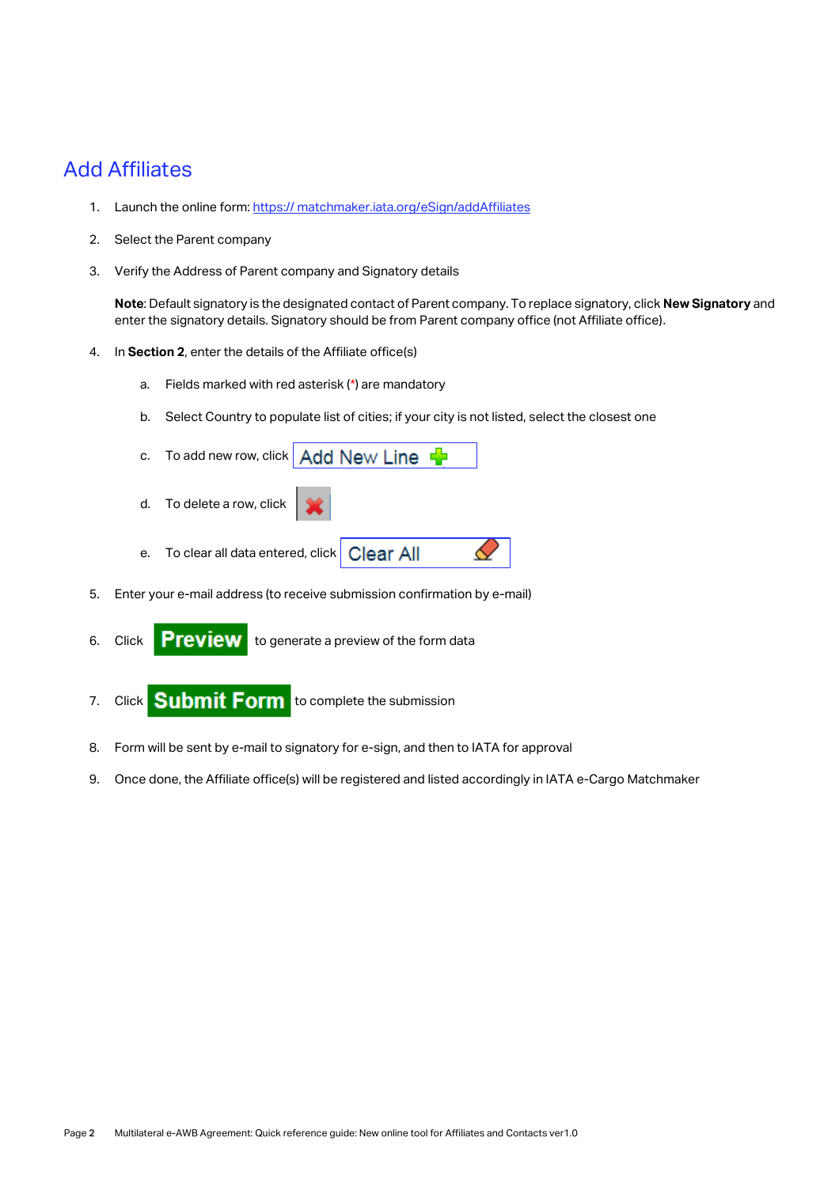### <span id="page-1-0"></span>Add Affiliates

- 1. Launch the online form: https:// matchmaker.iata.org/eSign/addAffiliates
- 2. Select the Parent company
- 3. Verify the Address of Parent company and Signatory details

**Note**: Default signatory is the designated contact of Parent company. To replace signatory, click **New Signatory** and enter the signatory details. Signatory should be from Parent company office (not Affiliate office).

- 4. In **Section 2**, enter the details of the Affiliate office(s)
	- a. Fields marked with red asterisk (\*) are mandatory
	- b. Select Country to populate list of cities; if your city is not listed, select the closest one
	- c. To add new row, click  $Add$  New Line  $\frac{d}{d}$ d. To delete a row, click
	- e. To clear all data entered, click Clear All
- 5. Enter your e-mail address (to receive submission confirmation by e-mail)
- 6. Click **Preview** to generate a preview of the form data
- 7. Click **Submit Form** to complete the submission
- 8. Form will be sent by e-mail to signatory for e-sign, and then to IATA for approval
- 9. Once done, the Affiliate office(s) will be registered and listed accordingly in IATA e-Cargo Matchmaker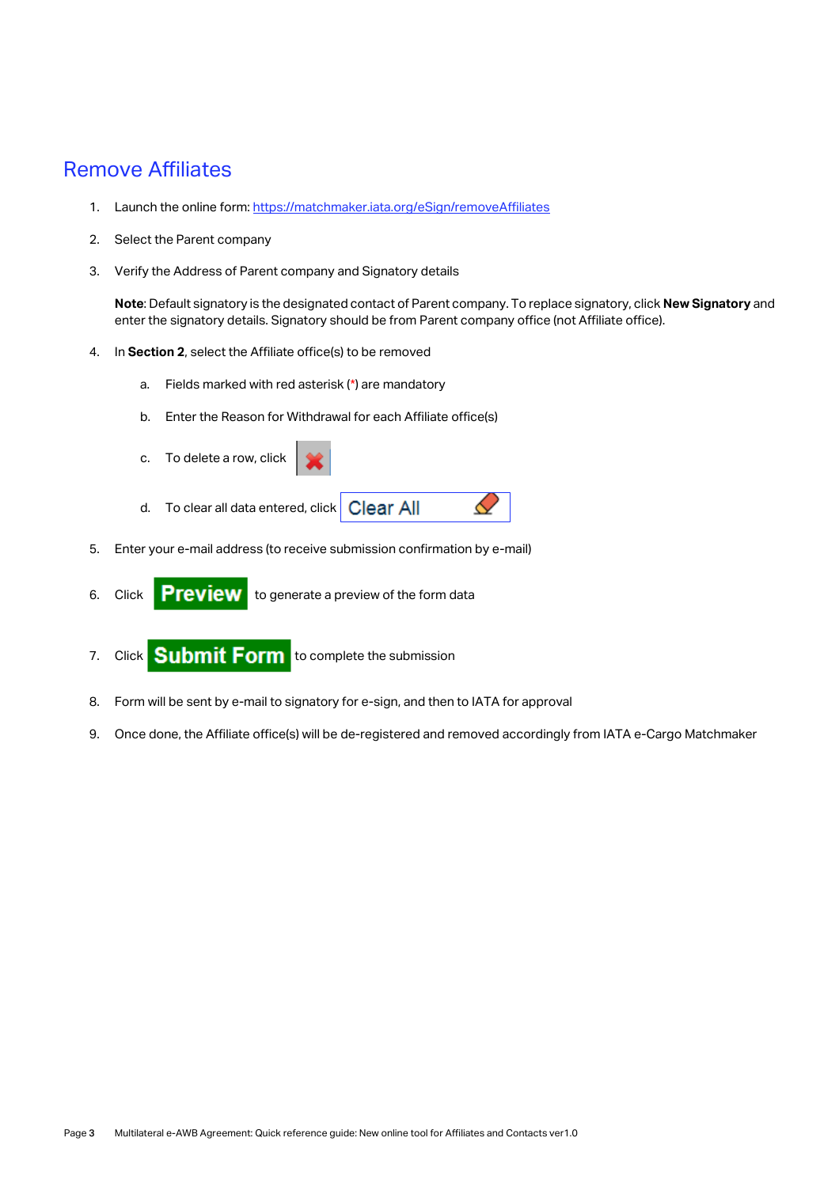#### <span id="page-2-0"></span>Remove Affiliates

- 1. Launch the online form[: https://matchmaker.iata.org/eSign/removeAffiliates](https://matchmaker.iata.org/eSign/removeAffiliates)
- 2. Select the Parent company
- 3. Verify the Address of Parent company and Signatory details

**Note**: Default signatory is the designated contact of Parent company. To replace signatory, click **New Signatory** and enter the signatory details. Signatory should be from Parent company office (not Affiliate office).

♦

- 4. In **Section 2**, select the Affiliate office(s) to be removed
	- a. Fields marked with red asterisk (\*) are mandatory
	- b. Enter the Reason for Withdrawal for each Affiliate office(s)
	- c. To delete a row, click
	- d. To clear all data entered, click **Clear All**
- 5. Enter your e-mail address (to receive submission confirmation by e-mail)
- 6. Click to generate a preview of the form data
- 7. Click **Submit Form** to complete the submission
- 8. Form will be sent by e-mail to signatory for e-sign, and then to IATA for approval
- 9. Once done, the Affiliate office(s) will be de-registered and removed accordingly from IATA e-Cargo Matchmaker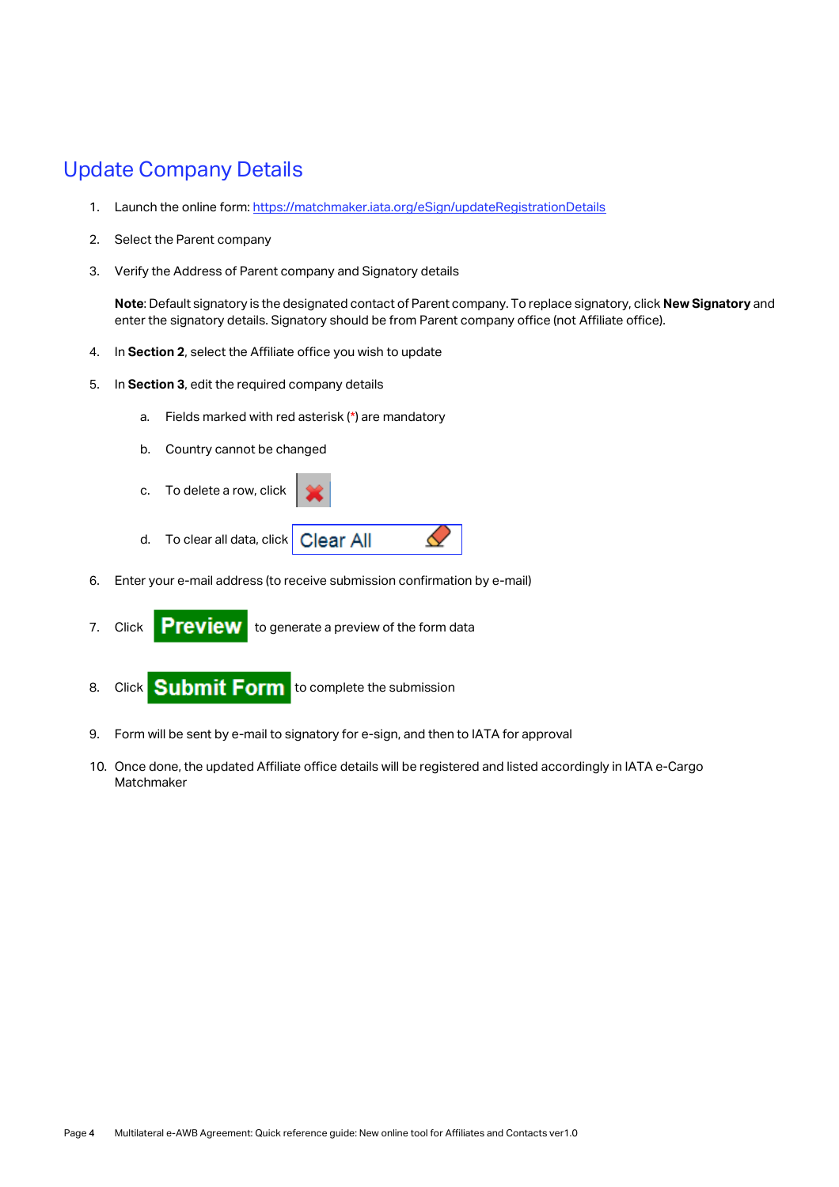#### <span id="page-3-0"></span>Update Company Details

- 1. Launch the online form[: https://matchmaker.iata.org/eSign/updateRegistrationDetails](https://matchmaker.iata.org/eSign/updateRegistrationDetails)
- 2. Select the Parent company
- 3. Verify the Address of Parent company and Signatory details

**Note**: Default signatory is the designated contact of Parent company. To replace signatory, click **New Signatory** and enter the signatory details. Signatory should be from Parent company office (not Affiliate office).

к

- 4. In **Section 2**, select the Affiliate office you wish to update
- 5. In **Section 3**, edit the required company details
	- a. Fields marked with red asterisk (\*) are mandatory
	- b. Country cannot be changed
	- c. To delete a row, click
	- d. To clear all data, click **Clear All**
- 6. Enter your e-mail address (to receive submission confirmation by e-mail)
- 7. Click **Preview** to generate a preview of the form data
- 8. Click **Submit Form** to complete the submission
- 9. Form will be sent by e-mail to signatory for e-sign, and then to IATA for approval
- 10. Once done, the updated Affiliate office details will be registered and listed accordingly in IATA e-Cargo Matchmaker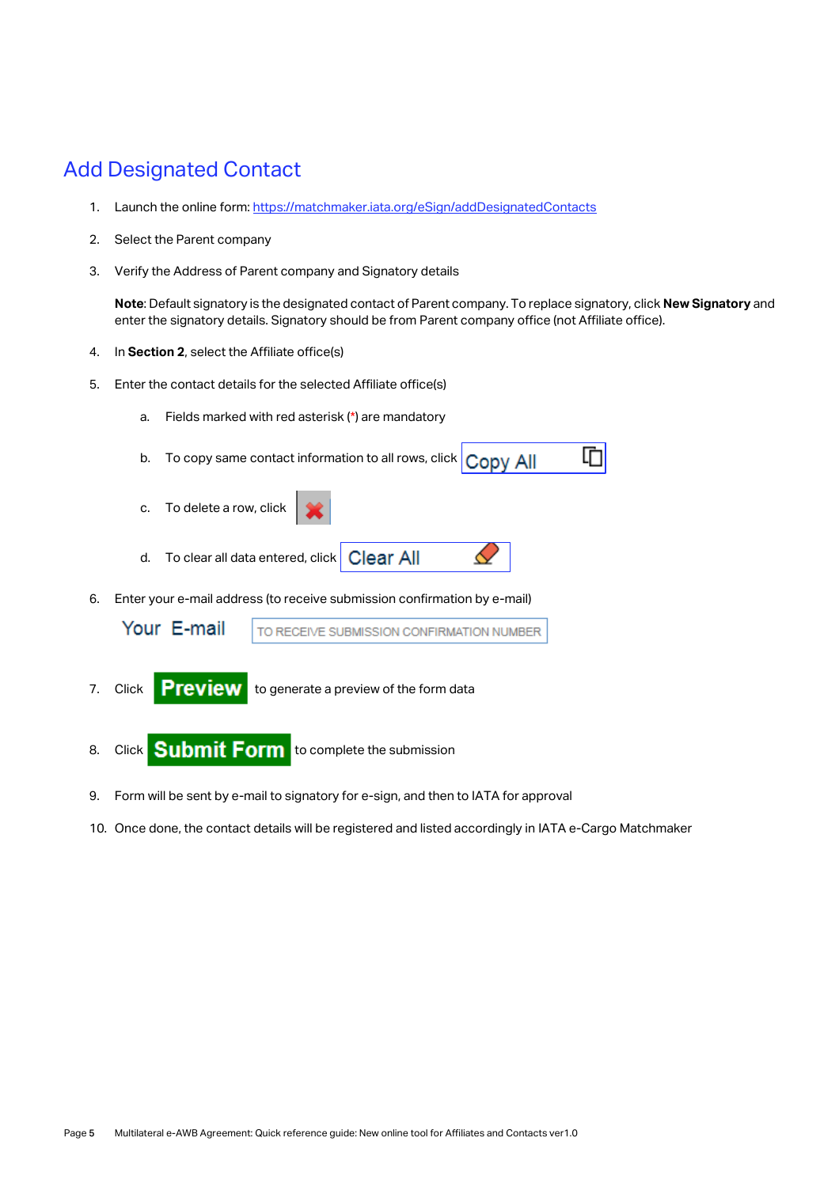## <span id="page-4-0"></span>Add Designated Contact

- 1. Launch the online form[: https://matchmaker.iata.org/eSign/addDesignatedContacts](https://matchmaker.iata.org/eSign/addDesignatedContacts)
- 2. Select the Parent company
- 3. Verify the Address of Parent company and Signatory details

**Note**: Default signatory is the designated contact of Parent company. To replace signatory, click **New Signatory** and enter the signatory details. Signatory should be from Parent company office (not Affiliate office).

- 4. In **Section 2**, select the Affiliate office(s)
- 5. Enter the contact details for the selected Affiliate office(s)
	- a. Fields marked with red asterisk (\*) are mandatory
	- b. To copy same contact information to all rows, click Copy All 머
	- c. To delete a row, click
	- Clear All d. To clear all data entered, click
- 6. Enter your e-mail address (to receive submission confirmation by e-mail)

| Your E-mail | TO RECEIVE SUBMISSION CONFIRMATION NUMBER |
|-------------|-------------------------------------------|
|             |                                           |

- 7. Click **Preview** to generate a preview of the form data
- 8. Click **Submit Form** to complete the submission
- 9. Form will be sent by e-mail to signatory for e-sign, and then to IATA for approval
- 10. Once done, the contact details will be registered and listed accordingly in IATA e-Cargo Matchmaker